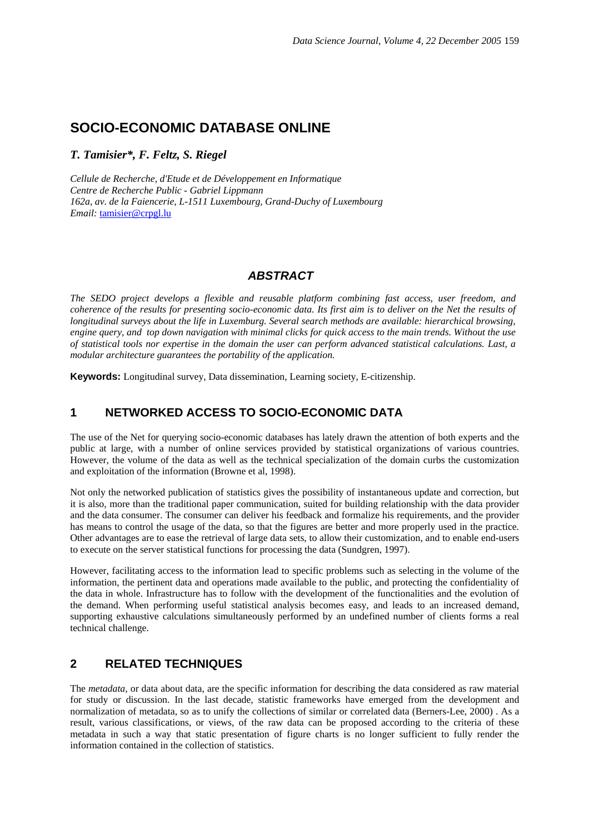# **SOCIO-ECONOMIC DATABASE ONLINE**

*T. Tamisier\*, F. Feltz, S. Riegel* 

*Cellule de Recherche, d'Etude et de Développement en Informatique Centre de Recherche Public - Gabriel Lippmann 162a, av. de la Faiencerie, L-1511 Luxembourg, Grand-Duchy of Luxembourg Email:* tamisier@crpgl.lu

## *ABSTRACT*

*The SEDO project develops a flexible and reusable platform combining fast access, user freedom, and coherence of the results for presenting socio-economic data. Its first aim is to deliver on the Net the results of longitudinal surveys about the life in Luxemburg. Several search methods are available: hierarchical browsing, engine query, and top down navigation with minimal clicks for quick access to the main trends. Without the use of statistical tools nor expertise in the domain the user can perform advanced statistical calculations. Last, a modular architecture guarantees the portability of the application.* 

**Keywords:** Longitudinal survey, Data dissemination, Learning society, E-citizenship.

# **1 NETWORKED ACCESS TO SOCIO-ECONOMIC DATA**

The use of the Net for querying socio-economic databases has lately drawn the attention of both experts and the public at large, with a number of online services provided by statistical organizations of various countries. However, the volume of the data as well as the technical specialization of the domain curbs the customization and exploitation of the information (Browne et al, 1998).

Not only the networked publication of statistics gives the possibility of instantaneous update and correction, but it is also, more than the traditional paper communication, suited for building relationship with the data provider and the data consumer. The consumer can deliver his feedback and formalize his requirements, and the provider has means to control the usage of the data, so that the figures are better and more properly used in the practice. Other advantages are to ease the retrieval of large data sets, to allow their customization, and to enable end-users to execute on the server statistical functions for processing the data (Sundgren, 1997).

However, facilitating access to the information lead to specific problems such as selecting in the volume of the information, the pertinent data and operations made available to the public, and protecting the confidentiality of the data in whole. Infrastructure has to follow with the development of the functionalities and the evolution of the demand. When performing useful statistical analysis becomes easy, and leads to an increased demand, supporting exhaustive calculations simultaneously performed by an undefined number of clients forms a real technical challenge.

## **2 RELATED TECHNIQUES**

The *metadata*, or data about data, are the specific information for describing the data considered as raw material for study or discussion. In the last decade, statistic frameworks have emerged from the development and normalization of metadata, so as to unify the collections of similar or correlated data (Berners-Lee, 2000) . As a result, various classifications, or views, of the raw data can be proposed according to the criteria of these metadata in such a way that static presentation of figure charts is no longer sufficient to fully render the information contained in the collection of statistics.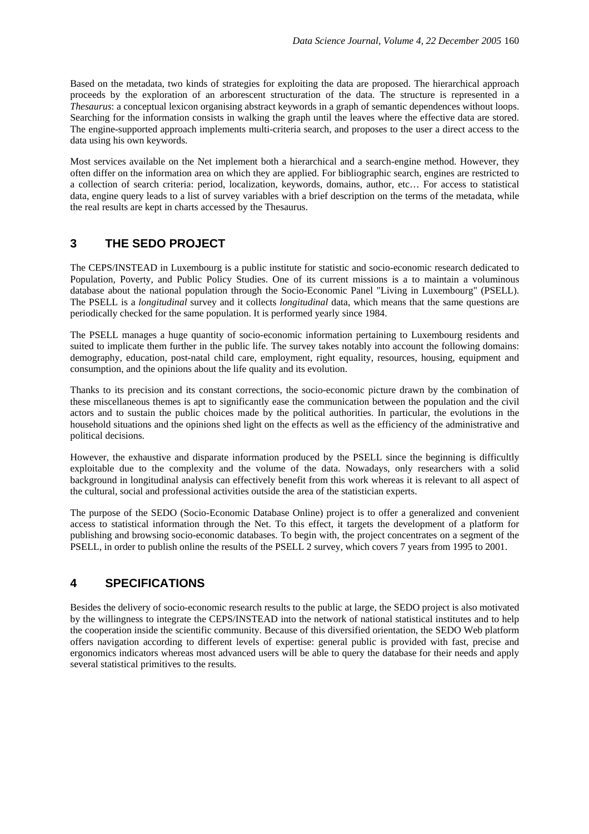Based on the metadata, two kinds of strategies for exploiting the data are proposed. The hierarchical approach proceeds by the exploration of an arborescent structuration of the data. The structure is represented in a *Thesaurus*: a conceptual lexicon organising abstract keywords in a graph of semantic dependences without loops. Searching for the information consists in walking the graph until the leaves where the effective data are stored. The engine-supported approach implements multi-criteria search, and proposes to the user a direct access to the data using his own keywords.

Most services available on the Net implement both a hierarchical and a search-engine method. However, they often differ on the information area on which they are applied. For bibliographic search, engines are restricted to a collection of search criteria: period, localization, keywords, domains, author, etc… For access to statistical data, engine query leads to a list of survey variables with a brief description on the terms of the metadata, while the real results are kept in charts accessed by the Thesaurus.

## **3 THE SEDO PROJECT**

The CEPS/INSTEAD in Luxembourg is a public institute for statistic and socio-economic research dedicated to Population, Poverty, and Public Policy Studies. One of its current missions is a to maintain a voluminous database about the national population through the Socio-Economic Panel "Living in Luxembourg" (PSELL). The PSELL is a *longitudinal* survey and it collects *longitudinal* data, which means that the same questions are periodically checked for the same population. It is performed yearly since 1984.

The PSELL manages a huge quantity of socio-economic information pertaining to Luxembourg residents and suited to implicate them further in the public life. The survey takes notably into account the following domains: demography, education, post-natal child care, employment, right equality, resources, housing, equipment and consumption, and the opinions about the life quality and its evolution.

Thanks to its precision and its constant corrections, the socio-economic picture drawn by the combination of these miscellaneous themes is apt to significantly ease the communication between the population and the civil actors and to sustain the public choices made by the political authorities. In particular, the evolutions in the household situations and the opinions shed light on the effects as well as the efficiency of the administrative and political decisions.

However, the exhaustive and disparate information produced by the PSELL since the beginning is difficultly exploitable due to the complexity and the volume of the data. Nowadays, only researchers with a solid background in longitudinal analysis can effectively benefit from this work whereas it is relevant to all aspect of the cultural, social and professional activities outside the area of the statistician experts.

The purpose of the SEDO (Socio-Economic Database Online) project is to offer a generalized and convenient access to statistical information through the Net. To this effect, it targets the development of a platform for publishing and browsing socio-economic databases. To begin with, the project concentrates on a segment of the PSELL, in order to publish online the results of the PSELL 2 survey, which covers 7 years from 1995 to 2001.

## **4 SPECIFICATIONS**

Besides the delivery of socio-economic research results to the public at large, the SEDO project is also motivated by the willingness to integrate the CEPS/INSTEAD into the network of national statistical institutes and to help the cooperation inside the scientific community. Because of this diversified orientation, the SEDO Web platform offers navigation according to different levels of expertise: general public is provided with fast, precise and ergonomics indicators whereas most advanced users will be able to query the database for their needs and apply several statistical primitives to the results.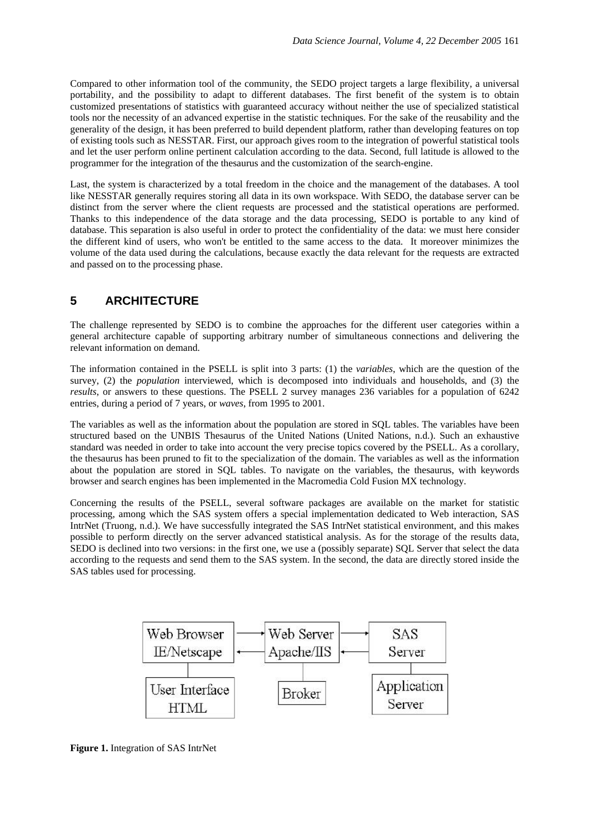Compared to other information tool of the community, the SEDO project targets a large flexibility, a universal portability, and the possibility to adapt to different databases. The first benefit of the system is to obtain customized presentations of statistics with guaranteed accuracy without neither the use of specialized statistical tools nor the necessity of an advanced expertise in the statistic techniques. For the sake of the reusability and the generality of the design, it has been preferred to build dependent platform, rather than developing features on top of existing tools such as NESSTAR. First, our approach gives room to the integration of powerful statistical tools and let the user perform online pertinent calculation according to the data. Second, full latitude is allowed to the programmer for the integration of the thesaurus and the customization of the search-engine.

Last, the system is characterized by a total freedom in the choice and the management of the databases. A tool like NESSTAR generally requires storing all data in its own workspace. With SEDO, the database server can be distinct from the server where the client requests are processed and the statistical operations are performed. Thanks to this independence of the data storage and the data processing, SEDO is portable to any kind of database. This separation is also useful in order to protect the confidentiality of the data: we must here consider the different kind of users, who won't be entitled to the same access to the data. It moreover minimizes the volume of the data used during the calculations, because exactly the data relevant for the requests are extracted and passed on to the processing phase.

# **5 ARCHITECTURE**

The challenge represented by SEDO is to combine the approaches for the different user categories within a general architecture capable of supporting arbitrary number of simultaneous connections and delivering the relevant information on demand.

The information contained in the PSELL is split into 3 parts: (1) the *variables*, which are the question of the survey, (2) the *population* interviewed, which is decomposed into individuals and households, and (3) the *results*, or answers to these questions. The PSELL 2 survey manages 236 variables for a population of 6242 entries, during a period of 7 years, or *waves*, from 1995 to 2001.

The variables as well as the information about the population are stored in SQL tables. The variables have been structured based on the UNBIS Thesaurus of the United Nations (United Nations, n.d.). Such an exhaustive standard was needed in order to take into account the very precise topics covered by the PSELL. As a corollary, the thesaurus has been pruned to fit to the specialization of the domain. The variables as well as the information about the population are stored in SQL tables. To navigate on the variables, the thesaurus, with keywords browser and search engines has been implemented in the Macromedia Cold Fusion MX technology.

Concerning the results of the PSELL, several software packages are available on the market for statistic processing, among which the SAS system offers a special implementation dedicated to Web interaction, SAS IntrNet (Truong, n.d.). We have successfully integrated the SAS IntrNet statistical environment, and this makes possible to perform directly on the server advanced statistical analysis. As for the storage of the results data, SEDO is declined into two versions: in the first one, we use a (possibly separate) SQL Server that select the data according to the requests and send them to the SAS system. In the second, the data are directly stored inside the SAS tables used for processing.



**Figure 1.** Integration of SAS IntrNet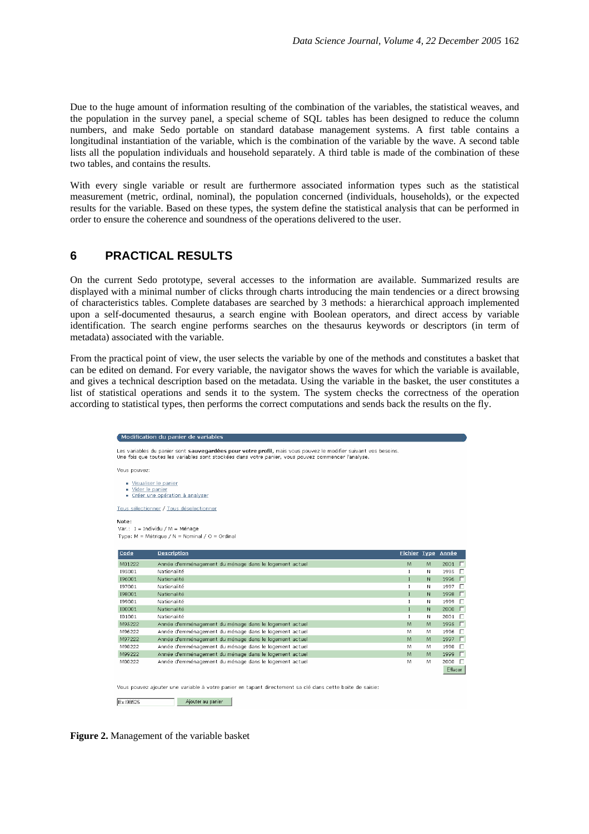Due to the huge amount of information resulting of the combination of the variables, the statistical weaves, and the population in the survey panel, a special scheme of SQL tables has been designed to reduce the column numbers, and make Sedo portable on standard database management systems. A first table contains a longitudinal instantiation of the variable, which is the combination of the variable by the wave. A second table lists all the population individuals and household separately. A third table is made of the combination of these two tables, and contains the results.

With every single variable or result are furthermore associated information types such as the statistical measurement (metric, ordinal, nominal), the population concerned (individuals, households), or the expected results for the variable. Based on these types, the system define the statistical analysis that can be performed in order to ensure the coherence and soundness of the operations delivered to the user.

#### **6 PRACTICAL RESULTS**

On the current Sedo prototype, several accesses to the information are available. Summarized results are displayed with a minimal number of clicks through charts introducing the main tendencies or a direct browsing of characteristics tables. Complete databases are searched by 3 methods: a hierarchical approach implemented upon a self-documented thesaurus, a search engine with Boolean operators, and direct access by variable identification. The search engine performs searches on the thesaurus keywords or descriptors (in term of metadata) associated with the variable.

From the practical point of view, the user selects the variable by one of the methods and constitutes a basket that can be edited on demand. For every variable, the navigator shows the waves for which the variable is available, and gives a technical description based on the metadata. Using the variable in the basket, the user constitutes a list of statistical operations and sends it to the system. The system checks the correctness of the operation according to statistical types, then performs the correct computations and sends back the results on the fly.

|                 | Modification du panier de variables                                                                                                                                                                                   |                     |   |                |
|-----------------|-----------------------------------------------------------------------------------------------------------------------------------------------------------------------------------------------------------------------|---------------------|---|----------------|
|                 | Les variables du panier sont sauvegardées pour votre profil, mais vous pouvez le modifier suivant vos besoins.<br>Une fois que toutes les variables sont stockées dans votre panier, vous pouvez commencer l'analyse. |                     |   |                |
| Vous pouvez:    |                                                                                                                                                                                                                       |                     |   |                |
| Vider le panier | Visualiser le panier<br>Créer une opération à analyser<br>Tous sélectionner / Tous déselectionner                                                                                                                     |                     |   |                |
|                 |                                                                                                                                                                                                                       |                     |   |                |
| Note:           |                                                                                                                                                                                                                       |                     |   |                |
|                 | Var.: I = Individu / M = Ménage                                                                                                                                                                                       |                     |   |                |
|                 | Type: M = Métrique / N = Nominal / O = Ordinal                                                                                                                                                                        |                     |   |                |
|                 |                                                                                                                                                                                                                       |                     |   |                |
| Code            | <b>Description</b>                                                                                                                                                                                                    | <b>Fichier Type</b> |   | Année          |
| M01222          | Année d'emménagement du ménage dans le logement actuel                                                                                                                                                                | M                   | M | 2001 $\Box$    |
| 195001          | Nationalité                                                                                                                                                                                                           | I                   | N | 1995 厂         |
| 196001          | Nationalité                                                                                                                                                                                                           | $\mathbf{I}$        | N | 1996<br>$\Box$ |
| 197001          | Nationalité                                                                                                                                                                                                           | $\mathbb{I}$        | N | 1997<br>$\Box$ |
| 198001          | Nationalité                                                                                                                                                                                                           | $\mathbf{I}$        | N | $\Box$<br>1998 |
| 199001          | Nationalité                                                                                                                                                                                                           | $\mathbf I$         | N | 1999<br>$\Box$ |
| 100001          | Nationalité                                                                                                                                                                                                           | $\mathbf I$         | N | $\Box$<br>2000 |
| 101001          | Nationalité                                                                                                                                                                                                           | $\mathbf{I}$        | N | $2001$ $\Box$  |
| M95222          | Année d'emménagement du ménage dans le logement actuel                                                                                                                                                                | M                   | M | 1995<br>$\Box$ |
| M96222          | Année d'emménagement du ménage dans le logement actuel                                                                                                                                                                | м                   | М | 1996<br>$\Box$ |
| M97222          | Année d'emménagement du ménage dans le logement actuel                                                                                                                                                                | M                   | M | $\Box$<br>1997 |
| M98222          | Année d'emménagement du ménage dans le logement actuel                                                                                                                                                                | M                   | М | 1998<br>$\Box$ |
| M99222          | Année d'emménagement du ménage dans le logement actuel                                                                                                                                                                | M                   | M | $\Box$<br>1999 |
| M00222          | Année d'emménagement du ménage dans le logement actuel                                                                                                                                                                | M                   | M | $2000$ $\Box$  |
|                 |                                                                                                                                                                                                                       |                     |   | Effacer        |
|                 |                                                                                                                                                                                                                       |                     |   |                |
|                 | Vous pouvez ajouter une variable à votre panier en tapant directement sa clé dans cette boite de saisie:                                                                                                              |                     |   |                |
|                 |                                                                                                                                                                                                                       |                     |   |                |
| Ex:198525       | Aiouter au panier                                                                                                                                                                                                     |                     |   |                |

**Figure 2.** Management of the variable basket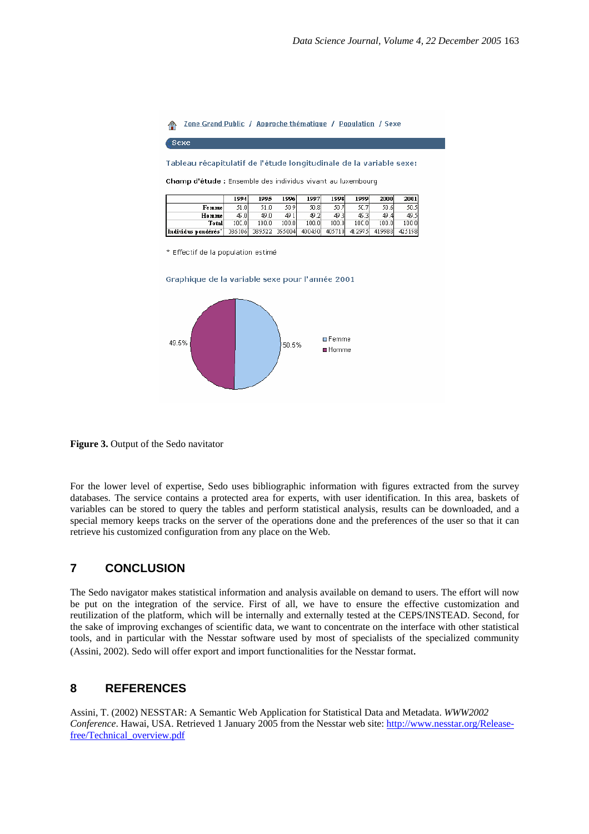Zone Grand Public / Approche thématique / Population / Sexe  $\triangle$ 

Sexe

Tableau récapitulatif de l'étude longitudinale de la variable sexe:

Champ d'étude : Ensemble des individus vivant au luxembourg

|                     | 1994   | 1995   | 1996   | 1997   | 1998   | 1999   | 2000   | <b>2001</b> |
|---------------------|--------|--------|--------|--------|--------|--------|--------|-------------|
| Femmel              | 51.0   | 51.0   | 50 91  | 30.8   | 50.7   | 5C.71  | 50.61  | 50.5        |
| Hommel              | 45.0   | 49.0   | 491    | 49.2   | 49.3   | 45.3   | 49.41  | 49.5        |
| Total               | 10C.OI | 100.0  | 100.01 | 100.0  | 100.OI | 10C.0  | 100.0  | 1000        |
| Individus pondérés' | 336106 | 389522 | 355004 | 400450 | 405710 | 412975 | 419988 | 425158      |

\* Effectif de la population estimé





**Figure 3.** Output of the Sedo navitator

For the lower level of expertise, Sedo uses bibliographic information with figures extracted from the survey databases. The service contains a protected area for experts, with user identification. In this area, baskets of variables can be stored to query the tables and perform statistical analysis, results can be downloaded, and a special memory keeps tracks on the server of the operations done and the preferences of the user so that it can retrieve his customized configuration from any place on the Web.

#### **7 CONCLUSION**

The Sedo navigator makes statistical information and analysis available on demand to users. The effort will now be put on the integration of the service. First of all, we have to ensure the effective customization and reutilization of the platform, which will be internally and externally tested at the CEPS/INSTEAD. Second, for the sake of improving exchanges of scientific data, we want to concentrate on the interface with other statistical tools, and in particular with the Nesstar software used by most of specialists of the specialized community (Assini, 2002). Sedo will offer export and import functionalities for the Nesstar format.

#### **8 REFERENCES**

Assini, T. (2002) NESSTAR: A Semantic Web Application for Statistical Data and Metadata. *WWW2002 Conference*. Hawai, USA. Retrieved 1 January 2005 from the Nesstar web site: http://www.nesstar.org/Releasefree/Technical\_overview.pdf